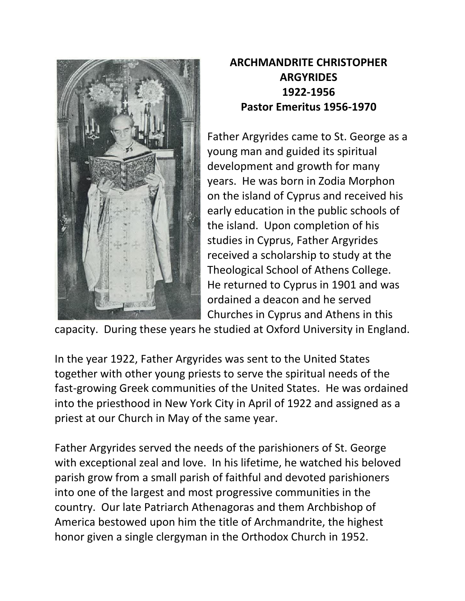

## **ARCHMANDRITE CHRISTOPHER ARGYRIDES 1922-1956 Pastor Emeritus 1956-1970**

Father Argyrides came to St. George as a young man and guided its spiritual development and growth for many years. He was born in Zodia Morphon on the island of Cyprus and received his early education in the public schools of the island. Upon completion of his studies in Cyprus, Father Argyrides received a scholarship to study at the Theological School of Athens College. He returned to Cyprus in 1901 and was ordained a deacon and he served Churches in Cyprus and Athens in this

capacity. During these years he studied at Oxford University in England.

In the year 1922, Father Argyrides was sent to the United States together with other young priests to serve the spiritual needs of the fast-growing Greek communities of the United States. He was ordained into the priesthood in New York City in April of 1922 and assigned as a priest at our Church in May of the same year.

Father Argyrides served the needs of the parishioners of St. George with exceptional zeal and love. In his lifetime, he watched his beloved parish grow from a small parish of faithful and devoted parishioners into one of the largest and most progressive communities in the country. Our late Patriarch Athenagoras and them Archbishop of America bestowed upon him the title of Archmandrite, the highest honor given a single clergyman in the Orthodox Church in 1952.